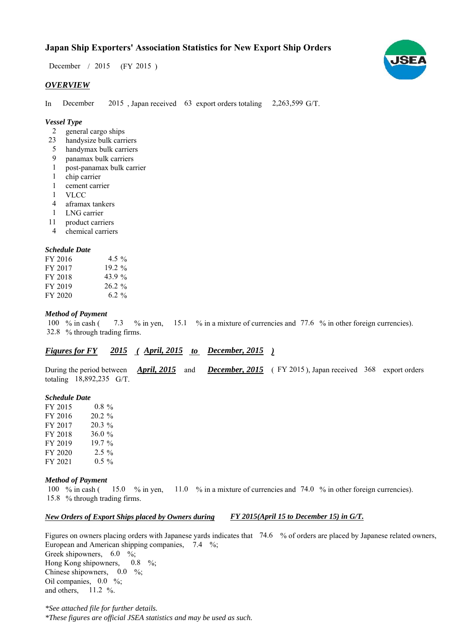# **Japan Ship Exporters' Association Statistics for New Export Ship Orders**

 $(FY 2015)$ December  $/2015$ 

### *OVERVIEW*

In December 2015, Japan received 63 export orders totaling 2,263,599 G/T. December

## *Vessel Type*

- general cargo ships 2
- handysize bulk carriers 23
- handymax bulk carriers 5
- panamax bulk carriers  $\mathbf{Q}$
- post-panamax bulk carrier 1
- chip carrier 1
- cement carrier 1
- VLCC 1
- aframax tankers 4
- LNG carrier 1
- product carriers 11
- chemical carriers 4

#### *Schedule Date*

| FY 2016 | 4.5 %     |
|---------|-----------|
| FY 2017 | $19.2\%$  |
| FY 2018 | 43.9%     |
| FY 2019 | $26.2 \%$ |
| FY 2020 | 6.2 %     |

#### *Method of Payment*

% in cash ( $\frac{7.3}{8}$  % in yen,  $\frac{15.1}{8}$  % in a mixture of currencies and 77.6 % in other foreign currencies). % through trading firms. 32.8 7.3 100  $%$  in cash (

# *<u>Figures for FY 2015 (April, 2015 to December, 2015)*</u>

During the period between *April, 2015* and *December, 2015* (FY 2015), Japan received 368 export orders totaling 18,892,235 G/T. *April, 2015*

#### *Schedule Date*

FY 2015 FY 2016 FY 2017 FY 2018 FY 2019 FY 2020 FY 2021 0.8 % 20.2 % 36.0  $0.5 \%$ 19.7 %  $2.5\%$ 20.3 %

#### *Method of Payment*

% in cash ( $\frac{15.0}{8}$  m yen,  $\frac{11.0}{8}$  m a mixture of currencies and 74.0 % in other foreign currencies). % through trading firms. 15.8 15.0  $\%$  in yen. 100  $%$  in cash (

#### *New Orders of Export Ships placed by Owners during FY 2015(April 15 to December 15) in G/T.*

Figures on owners placing orders with Japanese yards indicates that  $74.6\%$  of orders are placed by Japanese related owners, European and American shipping companies,  $7.4\%$ ; Greek shipowners,  $6.0\%$ ; Hong Kong shipowners,  $0.8\%$ ; Chinese shipowners,  $0.0\%$ ; Oil companies,  $0.0\%$ ; and others,  $11.2 \%$ . 0.8

*\*See attached file for further details. \*These figures are official JSEA statistics and may be used as such.*

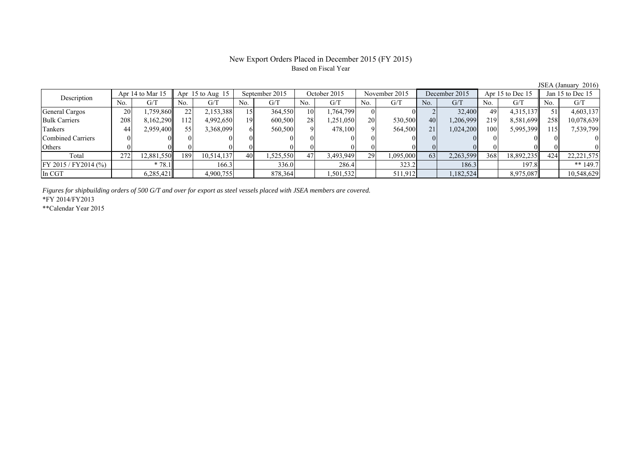# New Export Orders Placed in December 2015 (FY 2015) Based on Fiscal Year

JSEA (January 2016)

| Description              | Apr 14 to Mar 15 |            | Apr $15$ to Aug $15$ |            | September 2015 |          | October 2015 |           | November 2015  |           | December 2015  |           | Apr 15 to Dec 15 |            | Jan 15 to Dec 15 |              |
|--------------------------|------------------|------------|----------------------|------------|----------------|----------|--------------|-----------|----------------|-----------|----------------|-----------|------------------|------------|------------------|--------------|
|                          | No.              | G/T        | No.                  | G/T        | No.            | G/T      | No.          | G/T       | N <sub>0</sub> | G/T       | N <sub>0</sub> | G/T       | No.              | G/T        | No.              | G/T          |
| General Cargos           | 20               | ,759,860   | 22                   | 2,153,388  | 15             | 364,550  | 10           | .764,799  |                |           |                | 32,400    | 49               | 4,315,137  |                  | 4,603,137    |
| <b>Bulk Carriers</b>     | 208              | 8,162,290  | 112                  | 4,992,650  | 19             | 600,500  | 28           | 1,251,050 | 20             | 530,500   | 40             | 1,206,999 | 219              | 8,581,699  | 258              | 10,078,639   |
| Tankers                  | 44               | 2,959,400  | 55                   | 3,368,099  | 6              | 560,500  |              | 478,100   |                | 564,500   | 21             | 1,024,200 | 100              | 5,995,399  | 115              | 7,539,799    |
| <b>Combined Carriers</b> |                  |            |                      |            |                |          |              |           |                |           |                |           |                  |            |                  |              |
| Others                   |                  |            |                      |            |                |          |              |           |                |           |                |           |                  |            |                  |              |
| Total                    | 272              | 12,881,550 | 189                  | 10,514,137 | 40             | ,525,550 | 47           | 3,493,949 | 29             | 1,095,000 | 63             | 2,263,599 | 368              | 18,892,235 | 424              | 22, 221, 575 |
| FY 2015 / FY2014 (%)     |                  | $*78.1$    |                      | 166.3      |                | 336.0    |              | 286.4     |                | 323.2     |                | 186.3     |                  | 197.8      |                  | ** $149.7$   |
| In CGT                   |                  | 6,285,421  |                      | 4,900,755  |                | 878,364  |              | ,501,532  |                | 511,912   |                | 1,182,524 |                  | 8,975,087  |                  | 10,548,629   |

*Figures for shipbuilding orders of 500 G/T and over for export as steel vessels placed with JSEA members are covered.*

\*FY 2014/FY2013

\*\*Calendar Year 2015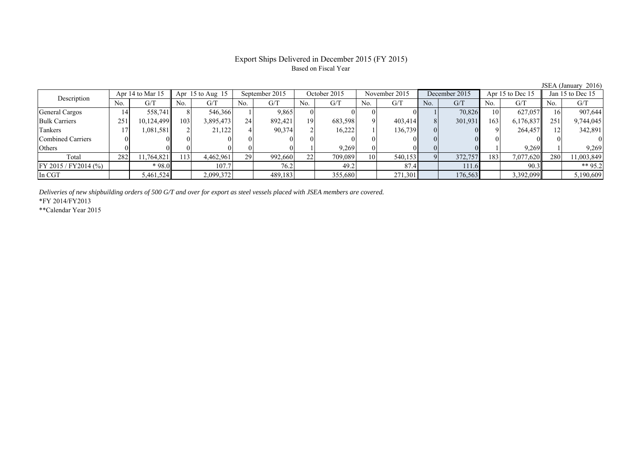# Export Ships Delivered in December 2015 (FY 2015) Based on Fiscal Year

|                      |                  |            |                      |           |                |         |                 |         |                |         |               |         |                  |           | $0.00011 + 0.00011$ | $-0.1$     |
|----------------------|------------------|------------|----------------------|-----------|----------------|---------|-----------------|---------|----------------|---------|---------------|---------|------------------|-----------|---------------------|------------|
| Description          | Apr 14 to Mar 15 |            | Apr $15$ to Aug $15$ |           | September 2015 |         | October 2015    |         | November 2015  |         | December 2015 |         | Apr 15 to Dec 15 |           | Jan 15 to Dec 15    |            |
|                      | No.              | G/T        | No.                  | G/T       | No.            | G/T     | No.             | G/T     | N <sub>0</sub> | G/T     | No.           | G/T     | No.              | G/T       | No.                 | G/T        |
| General Cargos       | 14'              | 558.741    |                      | 546,366   |                | 9,865   |                 |         |                |         |               | 70.826  | 10               | 627.057   |                     | 907,644    |
| <b>Bulk Carriers</b> | 251              | 10,124,499 | 103                  | 3,895,473 | 24             | 892.421 | 19              | 683,598 |                | 403,414 |               | 301,931 | 163              | 6,176,837 | 251                 | 9,744,045  |
| Tankers              |                  | 1,081,581  |                      | 21,122    |                | 90.374  |                 | 16,222  |                | 136,739 |               |         |                  | 264,457   |                     | 342,891    |
| Combined Carriers    |                  |            |                      |           |                |         |                 |         |                |         |               |         |                  |           |                     |            |
| Others               |                  |            |                      |           |                |         |                 | 9,269   |                |         |               |         |                  | 9.269     |                     | 9.269      |
| Total                | 282              | 11,764,821 | 13                   | 4,462,961 | 291            | 992,660 | 22 <sub>1</sub> | 709.089 | 10             | 540.153 |               | 372,757 | 183              | 7,077,620 | 280                 | 11,003,849 |
| FY 2015 / FY2014 (%) |                  | $*98.0$    |                      | 107.7     |                | 76.2    |                 | 49.2    |                | 87.4    |               | 111.6   |                  | 90.3      |                     | ** 95.2    |
| In CGT               |                  | 5,461,524  |                      | 2,099,372 |                | 489,183 |                 | 355,680 |                | 271,301 |               | 176,563 |                  | 3,392,099 |                     | 5,190,609  |

*Deliveries of new shipbuilding orders of 500 G/T and over for export as steel vessels placed with JSEA members are covered.*

\*FY 2014/FY2013

\*\*Calendar Year 2015

JSEA (January 2016)